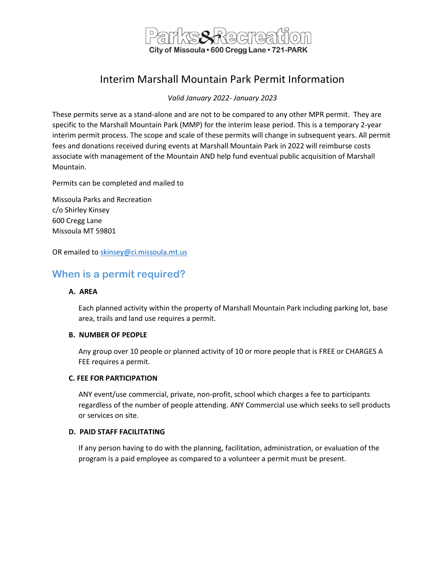

# Interim Marshall Mountain Park Permit Information

*Valid January 2022- January 2023*

These permits serve as a stand-alone and are not to be compared to any other MPR permit. They are specific to the Marshall Mountain Park (MMP) for the interim lease period. This is a temporary 2-year interim permit process. The scope and scale of these permits will change in subsequent years. All permit fees and donations received during events at Marshall Mountain Park in 2022 will reimburse costs associate with management of the Mountain AND help fund eventual public acquisition of Marshall Mountain.

Permits can be completed and mailed to

Missoula Parks and Recreation c/o Shirley Kinsey 600 Cregg Lane Missoula MT 59801

OR emailed to [skinsey@ci.missoula.mt.us](mailto:skinsey@ci.missoula.mt.us)

## **When is a permit required?**

#### **A. AREA**

Each planned activity within the property of Marshall Mountain Park including parking lot, base area, trails and land use requires a permit.

#### **B. NUMBER OF PEOPLE**

Any group over 10 people or planned activity of 10 or more people that is FREE or CHARGES A FEE requires a permit.

#### **C. FEE FOR PARTICIPATION**

ANY event/use commercial, private, non-profit, school which charges a fee to participants regardless of the number of people attending. ANY Commercial use which seeks to sell products or services on site.

#### **D. PAID STAFF FACILITATING**

If any person having to do with the planning, facilitation, administration, or evaluation of the program is a paid employee as compared to a volunteer a permit must be present.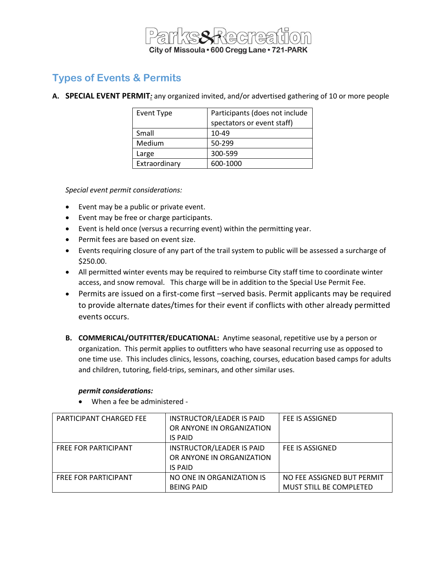

## **Types of Events & Permits**

**A. SPECIAL EVENT PERMIT***:* any organized invited, and/or advertised gathering of 10 or more people

| <b>Event Type</b> | Participants (does not include<br>spectators or event staff) |
|-------------------|--------------------------------------------------------------|
| Small             | 10-49                                                        |
| Medium            | 50-299                                                       |
| Large             | 300-599                                                      |
| Extraordinary     | 600-1000                                                     |

*Special event permit considerations:*

- Event may be a public or private event.
- Event may be free or charge participants.
- Event is held once (versus a recurring event) within the permitting year.
- Permit fees are based on event size.
- Events requiring closure of any part of the trail system to public will be assessed a surcharge of \$250.00.
- All permitted winter events may be required to reimburse City staff time to coordinate winter access, and snow removal. This charge will be in addition to the Special Use Permit Fee.
- Permits are issued on a first-come first –served basis. Permit applicants may be required to provide alternate dates/times for their event if conflicts with other already permitted events occurs.
- **B. COMMERICAL/OUTFITTER/EDUCATIONAL:** Anytime seasonal, repetitive use by a person or organization. This permit applies to outfitters who have seasonal recurring use as opposed to one time use. This includes clinics, lessons, coaching, courses, education based camps for adults and children, tutoring, field-trips, seminars, and other similar uses.

#### *permit considerations:*

• When a fee be administered -

| <b>PARTICIPANT CHARGED FEE</b> | <b>INSTRUCTOR/LEADER IS PAID</b> | FEE IS ASSIGNED            |
|--------------------------------|----------------------------------|----------------------------|
|                                | OR ANYONE IN ORGANIZATION        |                            |
|                                | IS PAID                          |                            |
| <b>FREE FOR PARTICIPANT</b>    | <b>INSTRUCTOR/LEADER IS PAID</b> | FEE IS ASSIGNED            |
|                                | OR ANYONE IN ORGANIZATION        |                            |
|                                | <b>IS PAID</b>                   |                            |
| <b>FREE FOR PARTICIPANT</b>    | NO ONE IN ORGANIZATION IS        | NO FEE ASSIGNED BUT PERMIT |
|                                | <b>BEING PAID</b>                | MUST STILL BE COMPLETED    |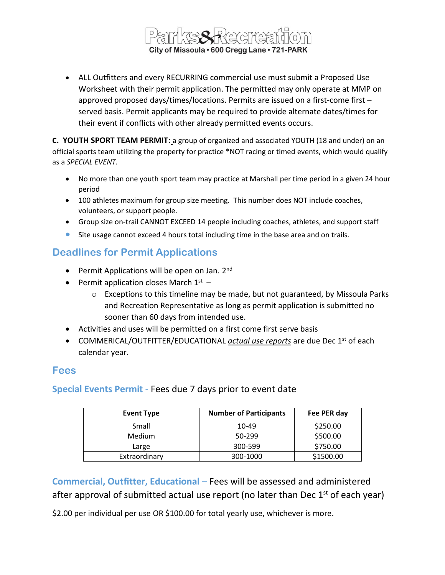

• ALL Outfitters and every RECURRING commercial use must submit a Proposed Use Worksheet with their permit application. The permitted may only operate at MMP on approved proposed days/times/locations. Permits are issued on a first-come first – served basis. Permit applicants may be required to provide alternate dates/times for their event if conflicts with other already permitted events occurs.

**C. YOUTH SPORT TEAM PERMIT:** a group of organized and associated YOUTH (18 and under) on an official sports team utilizing the property for practice \*NOT racing or timed events, which would qualify as a *SPECIAL EVENT.*

- No more than one youth sport team may practice at Marshall per time period in a given 24 hour period
- 100 athletes maximum for group size meeting. This number does NOT include coaches, volunteers, or support people.
- Group size on-trail CANNOT EXCEED 14 people including coaches, athletes, and support staff
- **•** Site usage cannot exceed 4 hours total including time in the base area and on trails.

## **Deadlines for Permit Applications**

- Permit Applications will be open on Jan. 2<sup>nd</sup>
- Permit application closes March  $1^{st}$ 
	- o Exceptions to this timeline may be made, but not guaranteed, by Missoula Parks and Recreation Representative as long as permit application is submitted no sooner than 60 days from intended use.
- Activities and uses will be permitted on a first come first serve basis
- COMMERICAL/OUTFITTER/EDUCATIONAL *actual use reports* are due Dec 1<sup>st</sup> of each calendar year.

## **Fees**

**Special Events Permit** - Fees due 7 days prior to event date

| <b>Event Type</b> | <b>Number of Participants</b> | Fee PER day |
|-------------------|-------------------------------|-------------|
| Small             | 10-49                         | \$250.00    |
| <b>Medium</b>     | 50-299                        | \$500.00    |
| Large             | 300-599                       | \$750.00    |
| Extraordinary     | 300-1000                      | \$1500.00   |

**Commercial, Outfitter, Educational** – Fees will be assessed and administered after approval of submitted actual use report (no later than Dec  $1<sup>st</sup>$  of each year)

\$2.00 per individual per use OR \$100.00 for total yearly use, whichever is more.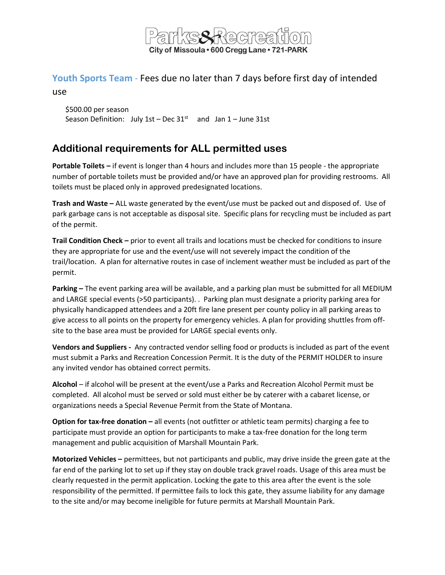

# **Youth Sports Team** - Fees due no later than 7 days before first day of intended

use

\$500.00 per season Season Definition: July  $1st$  – Dec  $31^{st}$  and Jan  $1$  – June 31st

# **Additional requirements for ALL permitted uses**

**Portable Toilets –** if event is longer than 4 hours and includes more than 15 people - the appropriate number of portable toilets must be provided and/or have an approved plan for providing restrooms. All toilets must be placed only in approved predesignated locations.

**Trash and Waste –** ALL waste generated by the event/use must be packed out and disposed of. Use of park garbage cans is not acceptable as disposal site. Specific plans for recycling must be included as part of the permit.

**Trail Condition Check –** prior to event all trails and locations must be checked for conditions to insure they are appropriate for use and the event/use will not severely impact the condition of the trail/location. A plan for alternative routes in case of inclement weather must be included as part of the permit.

**Parking –** The event parking area will be available, and a parking plan must be submitted for all MEDIUM and LARGE special events (>50 participants). . Parking plan must designate a priority parking area for physically handicapped attendees and a 20ft fire lane present per county policy in all parking areas to give access to all points on the property for emergency vehicles. A plan for providing shuttles from offsite to the base area must be provided for LARGE special events only.

**Vendors and Suppliers -** Any contracted vendor selling food or products is included as part of the event must submit a Parks and Recreation Concession Permit. It is the duty of the PERMIT HOLDER to insure any invited vendor has obtained correct permits.

**Alcohol** – if alcohol will be present at the event/use a Parks and Recreation Alcohol Permit must be completed. All alcohol must be served or sold must either be by caterer with a cabaret license, or organizations needs a Special Revenue Permit from the State of Montana.

**Option for tax-free donation –** all events (not outfitter or athletic team permits) charging a fee to participate must provide an option for participants to make a tax-free donation for the long term management and public acquisition of Marshall Mountain Park.

**Motorized Vehicles –** permittees, but not participants and public, may drive inside the green gate at the far end of the parking lot to set up if they stay on double track gravel roads. Usage of this area must be clearly requested in the permit application. Locking the gate to this area after the event is the sole responsibility of the permitted. If permittee fails to lock this gate, they assume liability for any damage to the site and/or may become ineligible for future permits at Marshall Mountain Park.